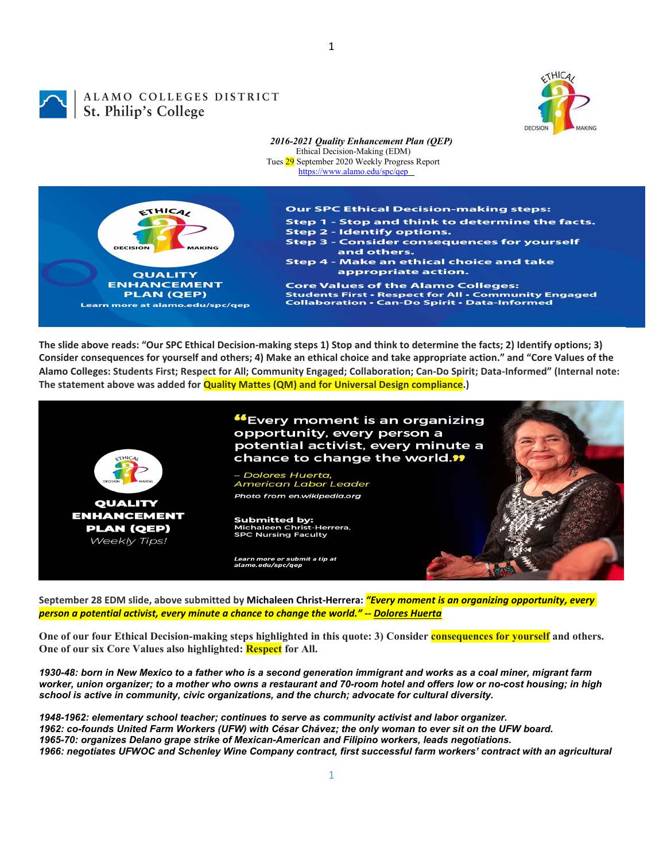

## 1

## ALAMO COLLEGES DISTRICT **RLAMO COLLEGES**<br>St. Philip's College



**The slide above reads: "Our SPC Ethical Decision-making steps 1) Stop and think to determine the facts; 2) Identify options; 3) Consider consequences for yourself and others; 4) Make an ethical choice and take appropriate action." and "Core Values of the Alamo Colleges: Students First; Respect for All; Community Engaged; Collaboration; Can-Do Spirit; Data-Informed" (Internal note: The statement above was added for Quality Mattes (QM) and for Universal Design compliance.)**



**September 28 EDM slide, above submitted by Michaleen Christ-Herrera:** *"Every moment is an organizing opportunity, every person a potential activist, every minute a chance to change the world." -- Dolores Huerta*

**One of our four Ethical Decision-making steps highlighted in this quote: 3) Consider consequences for yourself and others. One of our six Core Values also highlighted: Respect for All.**

*1930-48: born in New Mexico to a father who is a second generation immigrant and works as a coal miner, migrant farm worker, union organizer; to a mother who owns a restaurant and 70-room hotel and offers low or no-cost housing; in high school is active in community, civic organizations, and the church; advocate for cultural diversity.* 

*1948-1962: elementary school teacher; continues to serve as community activist and labor organizer. 1962: co-founds United Farm Workers (UFW) with César Chávez; the only woman to ever sit on the UFW board. 1965-70: organizes Delano grape strike of Mexican-American and Filipino workers, leads negotiations. 1966: negotiates UFWOC and Schenley Wine Company contract, first successful farm workers' contract with an agricultural*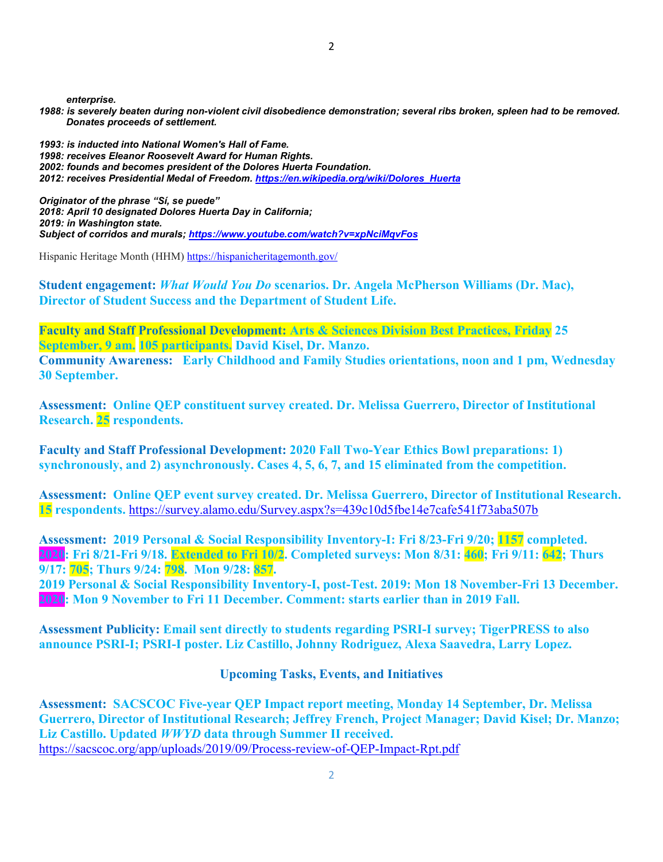*enterprise.* 

*1988: is severely beaten during non-violent civil disobedience demonstration; several ribs broken, spleen had to be removed. Donates proceeds of settlement.*

*1993: is inducted into National Women's Hall of Fame. 1998: receives Eleanor Roosevelt Award for Human Rights. 2002: founds and becomes president of the Dolores Huerta Foundation. 2012: receives Presidential Medal of Freedom[. https://en.wikipedia.org/wiki/Dolores\\_Huerta](https://en.wikipedia.org/wiki/Dolores_Huerta)* 

*Originator of the phrase "Sí, se puede" 2018: April 10 designated Dolores Huerta Day in California; 2019: in Washington state. Subject of corridos and murals;<https://www.youtube.com/watch?v=xpNciMqvFos>*

Hispanic Heritage Month (HHM) <https://hispanicheritagemonth.gov/>

**Student engagement:** *What Would You Do* **scenarios. Dr. Angela McPherson Williams (Dr. Mac), Director of Student Success and the Department of Student Life.**

**Faculty and Staff Professional Development: Arts & Sciences Division Best Practices, Friday 25 September, 9 am. 105 participants. David Kisel, Dr. Manzo. Community Awareness: Early Childhood and Family Studies orientations, noon and 1 pm, Wednesday 30 September.**

**Assessment: Online QEP constituent survey created. Dr. Melissa Guerrero, Director of Institutional Research. 25 respondents.**

**Faculty and Staff Professional Development: 2020 Fall Two-Year Ethics Bowl preparations: 1) synchronously, and 2) asynchronously. Cases 4, 5, 6, 7, and 15 eliminated from the competition.**

**Assessment: Online QEP event survey created. Dr. Melissa Guerrero, Director of Institutional Research. 15 respondents.** <https://survey.alamo.edu/Survey.aspx?s=439c10d5fbe14e7cafe541f73aba507b>

**Assessment: 2019 Personal & Social Responsibility Inventory-I: Fri 8/23-Fri 9/20; 1157 completed. 2020: Fri 8/21-Fri 9/18. Extended to Fri 10/2. Completed surveys: Mon 8/31: 460; Fri 9/11: 642; Thurs 9/17: 705; Thurs 9/24: 798. Mon 9/28: 857.**

**2019 Personal & Social Responsibility Inventory-I, post-Test. 2019: Mon 18 November-Fri 13 December. 2020: Mon 9 November to Fri 11 December. Comment: starts earlier than in 2019 Fall.**

**Assessment Publicity: Email sent directly to students regarding PSRI-I survey; TigerPRESS to also announce PSRI-I; PSRI-I poster. Liz Castillo, Johnny Rodriguez, Alexa Saavedra, Larry Lopez.** 

**Upcoming Tasks, Events, and Initiatives**

**Assessment: SACSCOC Five-year QEP Impact report meeting, Monday 14 September, Dr. Melissa Guerrero, Director of Institutional Research; Jeffrey French, Project Manager; David Kisel; Dr. Manzo; Liz Castillo. Updated** *WWYD* **data through Summer II received.**  <https://sacscoc.org/app/uploads/2019/09/Process-review-of-QEP-Impact-Rpt.pdf>